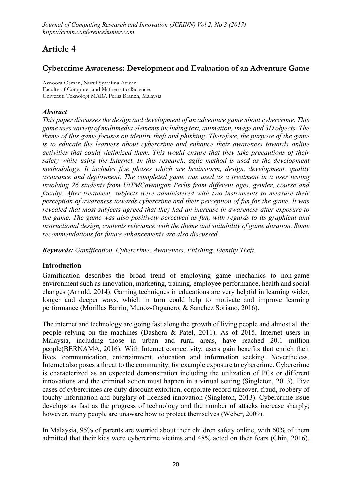# Article 4

## Cybercrime Awareness: Development and Evaluation of an Adventure Game

**Aznoora Osman, Nurul Syarafina Azizan Faculty of Computer and MathematicalSciences Universiti Teknologi MARA Perlis Branch, Malaysia**

### *Abstract*

*This paper discusses the design and development of an adventure game about cybercrime. This game uses variety of multimedia elements including text, animation, image and 3D objects. The theme of this game focuses on identity theft and phishing. Therefore, the purpose of the game is to educate the learners about cybercrime and enhance their awareness towards online activities that could victimized them. This would ensure that they take precautions of their safety while using the Internet. In this research, agile method is used as the development methodology. It includes five phases which are brainstorm, design, development, quality assurance and deployment. The completed game was used as a treatment in a user testing involving 26 students from UiTMCawangan Perlis from different ages, gender, course and faculty. After treatment, subjects were administered with two instruments to measure their perception of awareness towards cybercrime and their perception of fun for the game. It was revealed that most subjects agreed that they had an increase in awareness after exposure to the game. The game was also positively perceived as fun, with regards to its graphical and instructional design, contents relevance with the theme and suitability of game duration. Some recommendations for future enhancements are also discussed.*

*Keywords: Gamification, Cybercrime, Awareness, Phishing, Identity Theft.* 

### Introduction

Gamification describes the broad trend of employing game mechanics to non-game environment such as innovation, marketing, training, employee performance, health and social changes (Arnold, 2014). Gaming techniques in educations are very helpful in learning wider, longer and deeper ways, which in turn could help to motivate and improve learning performance (Morillas Barrio, Munoz-Organero, & Sanchez Soriano, 2016).

The internet and technology are going fast along the growth of living people and almost all the people relying on the machines (Dashora & Patel, 2011). As of 2015, Internet users in Malaysia, including those in urban and rural areas, have reached 20.1 million people(BERNAMA, 2016). With Internet connectivity, users gain benefits that enrich their lives, communication, entertainment, education and information seeking. Nevertheless, Internet also poses a threat to the community, for example exposure to cybercrime. Cybercrime is characterized as an expected demonstration including the utilization of PCs or different innovations and the criminal action must happen in a virtual setting (Singleton, 2013). Five cases of cybercrimes are duty discount extortion, corporate record takeover, fraud, robbery of touchy information and burglary of licensed innovation (Singleton, 2013). Cybercrime issue develops as fast as the progress of technology and the number of attacks increase sharply; however, many people are unaware how to protect themselves (Weber, 2009).

In Malaysia, 95% of parents are worried about their children safety online, with 60% of them admitted that their kids were cybercrime victims and 48% acted on their fears (Chin, 2016).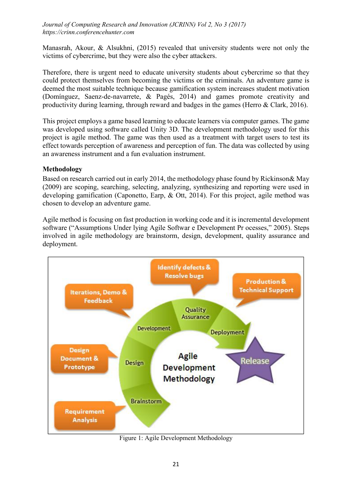Manasrah, Akour, & Alsukhni, (2015) revealed that university students were not only the victims of cybercrime, but they were also the cyber attackers.

Therefore, there is urgent need to educate university students about cybercrime so that they could protect themselves from becoming the victims or the criminals. An adventure game is deemed the most suitable technique because gamification system increases student motivation (Domínguez, Saenz-de-navarrete, & Pagés, 2014) and games promote creativity and productivity during learning, through reward and badges in the games (Herro & Clark, 2016).

This project employs a game based learning to educate learners via computer games. The game was developed using software called Unity 3D. The development methodology used for this project is agile method. The game was then used as a treatment with target users to test its effect towards perception of awareness and perception of fun. The data was collected by using an awareness instrument and a fun evaluation instrument.

### Methodology

Based on research carried out in early 2014, the methodology phase found by Rickinson& May (2009) are scoping, searching, selecting, analyzing, synthesizing and reporting were used in developing gamification (Caponetto, Earp, & Ott, 2014). For this project, agile method was chosen to develop an adventure game.

Agile method is focusing on fast production in working code and it is incremental development software ("Assumptions Under lying Agile Softwar e Development Pr ocesses," 2005). Steps involved in agile methodology are brainstorm, design, development, quality assurance and deployment.



Figure 1: Agile Development Methodology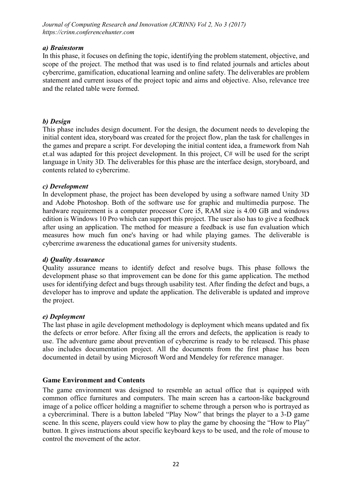#### *a) Brainstorm*

In this phase, it focuses on defining the topic, identifying the problem statement, objective, and scope of the project. The method that was used is to find related journals and articles about cybercrime, gamification, educational learning and online safety. The deliverables are problem statement and current issues of the project topic and aims and objective. Also, relevance tree and the related table were formed.

### *b) Design*

This phase includes design document. For the design, the document needs to developing the initial content idea, storyboard was created for the project flow, plan the task for challenges in the games and prepare a script. For developing the initial content idea, a framework from Nah et.al was adapted for this project development. In this project, C# will be used for the script language in Unity 3D. The deliverables for this phase are the interface design, storyboard, and contents related to cybercrime.

### *c) Development*

In development phase, the project has been developed by using a software named Unity 3D and Adobe Photoshop. Both of the software use for graphic and multimedia purpose. The hardware requirement is a computer processor Core i5, RAM size is 4.00 GB and windows edition is Windows 10 Pro which can support this project. The user also has to give a feedback after using an application. The method for measure a feedback is use fun evaluation which measures how much fun one's having or had while playing games. The deliverable is cybercrime awareness the educational games for university students.

### *d) Quality Assurance*

Quality assurance means to identify defect and resolve bugs. This phase follows the development phase so that improvement can be done for this game application. The method uses for identifying defect and bugs through usability test. After finding the defect and bugs, a developer has to improve and update the application. The deliverable is updated and improve the project.

### *e) Deployment*

The last phase in agile development methodology is deployment which means updated and fix the defects or error before. After fixing all the errors and defects, the application is ready to use. The adventure game about prevention of cybercrime is ready to be released. This phase also includes documentation project. All the documents from the first phase has been documented in detail by using Microsoft Word and Mendeley for reference manager.

### Game Environment and Contents

The game environment was designed to resemble an actual office that is equipped with common office furnitures and computers. The main screen has a cartoon-like background image of a police officer holding a magnifier to scheme through a person who is portrayed as a cybercriminal. There is a button labeled "Play Now" that brings the player to a 3-D game scene. In this scene, players could view how to play the game by choosing the "How to Play" button. It gives instructions about specific keyboard keys to be used, and the role of mouse to control the movement of the actor.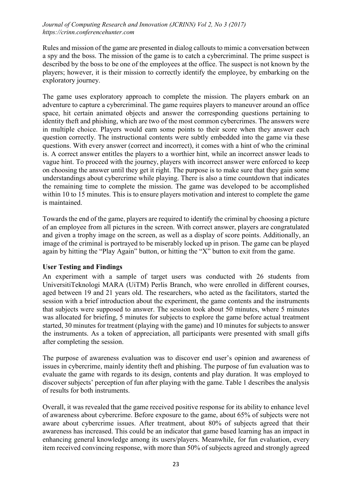Rules and mission of the game are presented in dialog callouts to mimic a conversation between a spy and the boss. The mission of the game is to catch a cybercriminal. The prime suspect is described by the boss to be one of the employees at the office. The suspect is not known by the players; however, it is their mission to correctly identify the employee, by embarking on the exploratory journey.

The game uses exploratory approach to complete the mission. The players embark on an adventure to capture a cybercriminal. The game requires players to maneuver around an office space, hit certain animated objects and answer the corresponding questions pertaining to identity theft and phishing, which are two of the most common cybercrimes. The answers were in multiple choice. Players would earn some points to their score when they answer each question correctly. The instructional contents were subtly embedded into the game via these questions. With every answer (correct and incorrect), it comes with a hint of who the criminal is. A correct answer entitles the players to a worthier hint, while an incorrect answer leads to vague hint. To proceed with the journey, players with incorrect answer were enforced to keep on choosing the answer until they get it right. The purpose is to make sure that they gain some understandings about cybercrime while playing. There is also a time countdown that indicates the remaining time to complete the mission. The game was developed to be accomplished within 10 to 15 minutes. This is to ensure players motivation and interest to complete the game is maintained.

Towards the end of the game, players are required to identify the criminal by choosing a picture of an employee from all pictures in the screen. With correct answer, players are congratulated and given a trophy image on the screen, as well as a display of score points. Additionally, an image of the criminal is portrayed to be miserably locked up in prison. The game can be played again by hitting the "Play Again" button, or hitting the "X" button to exit from the game.

### User Testing and Findings

An experiment with a sample of target users was conducted with 26 students from UniversitiTeknologi MARA (UiTM) Perlis Branch, who were enrolled in different courses, aged between 19 and 21 years old. The researchers, who acted as the facilitators, started the session with a brief introduction about the experiment, the game contents and the instruments that subjects were supposed to answer. The session took about 50 minutes, where 5 minutes was allocated for briefing, 5 minutes for subjects to explore the game before actual treatment started, 30 minutes for treatment (playing with the game) and 10 minutes for subjects to answer the instruments. As a token of appreciation, all participants were presented with small gifts after completing the session.

The purpose of awareness evaluation was to discover end user's opinion and awareness of issues in cybercrime, mainly identity theft and phishing. The purpose of fun evaluation was to evaluate the game with regards to its design, contents and play duration. It was employed to discover subjects' perception of fun after playing with the game. Table 1 describes the analysis of results for both instruments.

Overall, it was revealed that the game received positive response for its ability to enhance level of awareness about cybercrime. Before exposure to the game, about 65% of subjects were not aware about cybercrime issues. After treatment, about 80% of subjects agreed that their awareness has increased. This could be an indicator that game based learning has an impact in enhancing general knowledge among its users/players. Meanwhile, for fun evaluation, every item received convincing response, with more than 50% of subjects agreed and strongly agreed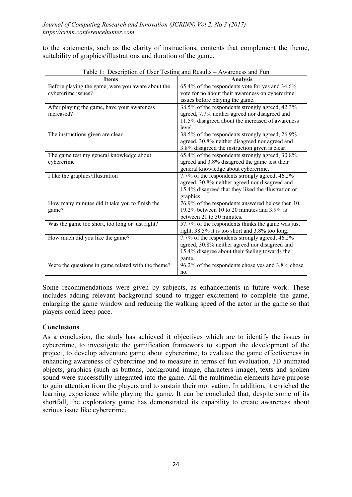to the statements, such as the clarity of instructions, contents that complement the theme, suitability of graphics/illustrations and duration of the game.

| <b>Items</b>                                       | <b>Analysis</b>                                     |
|----------------------------------------------------|-----------------------------------------------------|
| Before playing the game, were you aware about the  | 65.4% of the respondents vote for yes and 34.6%     |
| cybercrime issues?                                 | vote for no about their awareness on cybercrime     |
|                                                    | issues before playing the game.                     |
| After playing the game, have your awareness        | 38.5% of the respondents strongly agreed, 42.3%     |
| increased?                                         | agreed, 7.7% neither agreed nor disagreed and       |
|                                                    | 11.5% disagreed about the increased of awareness    |
|                                                    | level.                                              |
| The instructions given are clear                   | 38.5% of the respondents strongly agreed, 26.9%     |
|                                                    | agreed, 30.8% neither disagreed nor agreed and      |
|                                                    | 3.8% disagreed the instruction given is clear.      |
| The game test my general knowledge about           | 65.4% of the respondents strongly agreed, 30.8%     |
| cybercrime                                         | agreed and 3.8% disagreed the game test their       |
|                                                    | general knowledge about cybercrime.                 |
| I like the graphics/illustration                   | 7.7% of the respondents strongly agreed, 46.2%      |
|                                                    | agreed, 30.8% neither agreed nor disagreed and      |
|                                                    | 15.4% disagreed that they liked the illustration or |
|                                                    | graphics.                                           |
| How many minutes did it take you to finish the     | 76.9% of the respondents answered below then 10,    |
| game?                                              | 19.2% between 10 to 20 minutes and 3.9% is          |
|                                                    | between 21 to 30 minutes.                           |
| Was the game too short, too long or just right?    | 57.7% of the respondents thinks the game was just   |
|                                                    | right, 38.5% it is too short and 3.8% too long.     |
| How much did you like the game?                    | 7.7% of the respondents strongly agreed, 46.2%      |
|                                                    | agreed, 30.8% neither agreed nor disagreed and      |
|                                                    | 15.4% disagree about their feeling towards the      |
|                                                    | game.                                               |
| Were the questions in game related with the theme? | 96.2% of the respondents chose yes and 3.8% chose   |
|                                                    | no.                                                 |

Table 1: Description of User Testing and Results – Awareness and Fun

Some recommendations were given by subjects, as enhancements in future work. These includes adding relevant background sound to trigger excitement to complete the game, enlarging the game window and reducing the walking speed of the actor in the game so that players could keep pace.

### **Conclusions**

As a conclusion, the study has achieved it objectives which are to identify the issues in cybercrime, to investigate the gamification framework to support the development of the project, to develop adventure game about cybercrime, to evaluate the game effectiveness in enhancing awareness of cybercrime and to measure in terms of fun evaluation. 3D animated objects, graphics (such as buttons, background image, characters image), texts and spoken sound were successfully integrated into the game. All the multimedia elements have purpose to gain attention from the players and to sustain their motivation. In addition, it enriched the learning experience while playing the game. It can be concluded that, despite some of its shortfall, the exploratory game has demonstrated its capability to create awareness about serious issue like cybercrime.